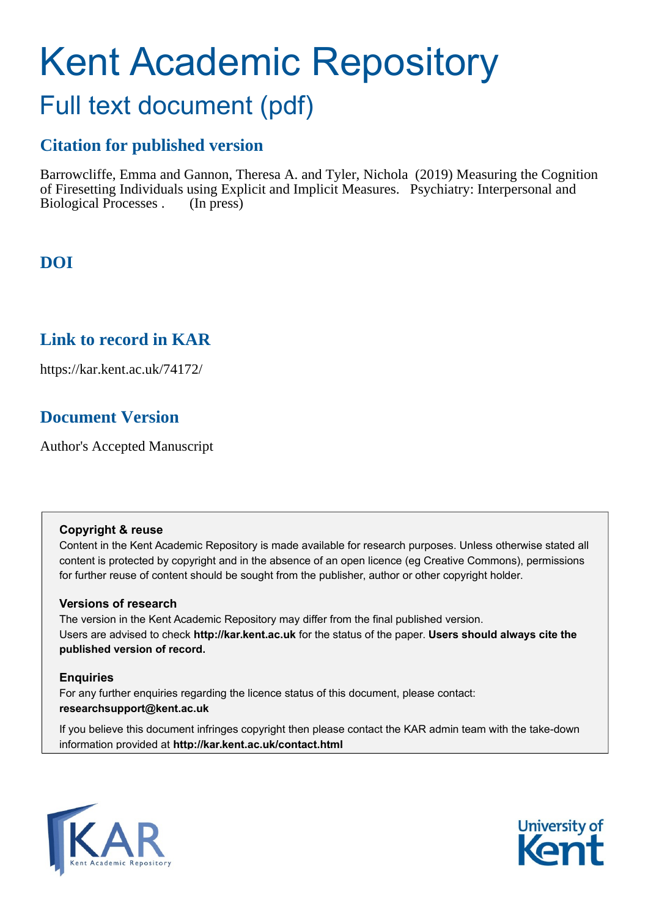# Kent Academic Repository

## Full text document (pdf)

## **Citation for published version**

Barrowcliffe, Emma and Gannon, Theresa A. and Tyler, Nichola (2019) Measuring the Cognition of Firesetting Individuals using Explicit and Implicit Measures. Psychiatry: Interpersonal and Biological Processes . (In press)

## **DOI**

### **Link to record in KAR**

https://kar.kent.ac.uk/74172/

## **Document Version**

Author's Accepted Manuscript

#### **Copyright & reuse**

Content in the Kent Academic Repository is made available for research purposes. Unless otherwise stated all content is protected by copyright and in the absence of an open licence (eg Creative Commons), permissions for further reuse of content should be sought from the publisher, author or other copyright holder.

#### **Versions of research**

The version in the Kent Academic Repository may differ from the final published version. Users are advised to check **http://kar.kent.ac.uk** for the status of the paper. **Users should always cite the published version of record.**

#### **Enquiries**

For any further enquiries regarding the licence status of this document, please contact: **researchsupport@kent.ac.uk**

If you believe this document infringes copyright then please contact the KAR admin team with the take-down information provided at **http://kar.kent.ac.uk/contact.html**



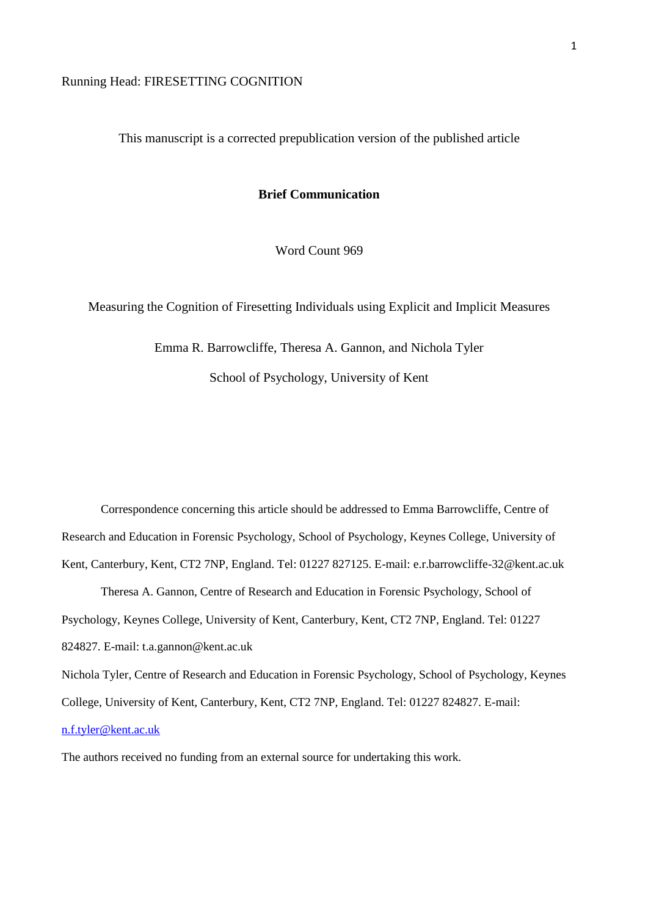#### Running Head: FIRESETTING COGNITION

This manuscript is a corrected prepublication version of the published article

#### **Brief Communication**

Word Count 969

Measuring the Cognition of Firesetting Individuals using Explicit and Implicit Measures

Emma R. Barrowcliffe, Theresa A. Gannon, and Nichola Tyler School of Psychology, University of Kent

Correspondence concerning this article should be addressed to Emma Barrowcliffe, Centre of Research and Education in Forensic Psychology, School of Psychology, Keynes College, University of Kent, Canterbury, Kent, CT2 7NP, England. Tel: 01227 827125. E-mail: e.r.barrowcliffe-32@kent.ac.uk Theresa A. Gannon, Centre of Research and Education in Forensic Psychology, School of Psychology, Keynes College, University of Kent, Canterbury, Kent, CT2 7NP, England. Tel: 01227

824827. E-mail: t.a.gannon@kent.ac.uk

Nichola Tyler, Centre of Research and Education in Forensic Psychology, School of Psychology, Keynes College, University of Kent, Canterbury, Kent, CT2 7NP, England. Tel: 01227 824827. E-mail: [n.f.tyler@kent.ac.uk](mailto:n.f.tyler@kent.ac.uk)

The authors received no funding from an external source for undertaking this work.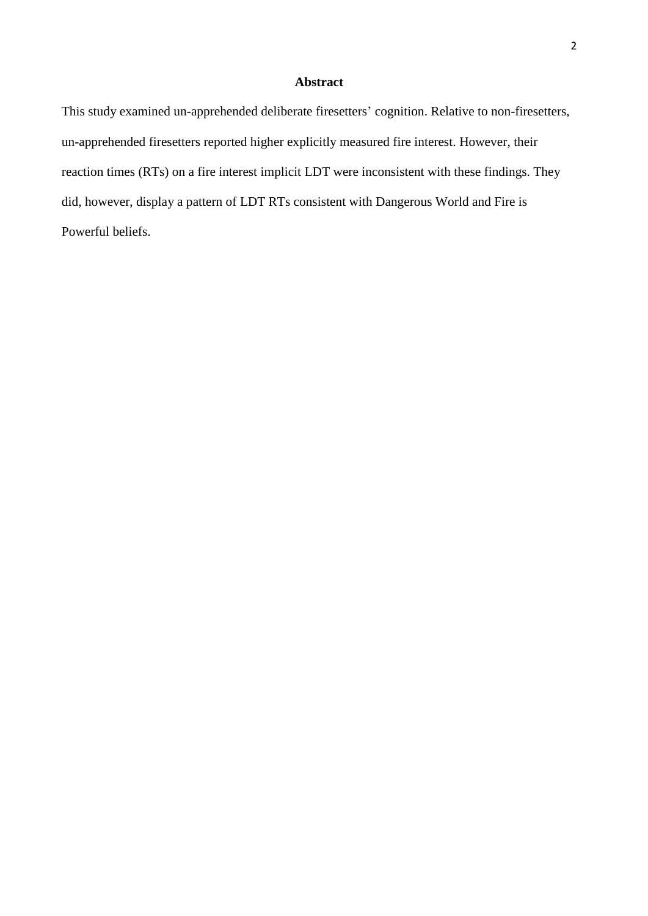#### **Abstract**

This study examined un-apprehended deliberate firesetters' cognition. Relative to non-firesetters, un-apprehended firesetters reported higher explicitly measured fire interest. However, their reaction times (RTs) on a fire interest implicit LDT were inconsistent with these findings. They did, however, display a pattern of LDT RTs consistent with Dangerous World and Fire is Powerful beliefs.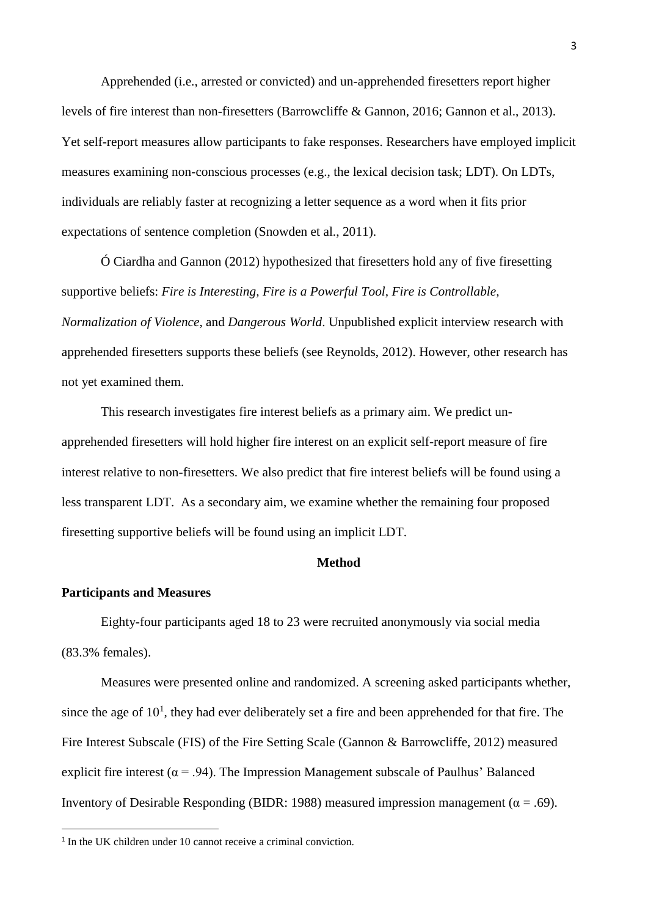Apprehended (i.e., arrested or convicted) and un-apprehended firesetters report higher levels of fire interest than non-firesetters (Barrowcliffe & Gannon, 2016; Gannon et al., 2013). Yet self-report measures allow participants to fake responses. Researchers have employed implicit measures examining non-conscious processes (e.g., the lexical decision task; LDT). On LDTs, individuals are reliably faster at recognizing a letter sequence as a word when it fits prior expectations of sentence completion (Snowden et al., 2011).

Ó Ciardha and Gannon (2012) hypothesized that firesetters hold any of five firesetting supportive beliefs: *Fire is Interesting, Fire is a Powerful Tool, Fire is Controllable, Normalization of Violence*, and *Dangerous World*. Unpublished explicit interview research with apprehended firesetters supports these beliefs (see Reynolds, 2012). However, other research has not yet examined them.

This research investigates fire interest beliefs as a primary aim. We predict unapprehended firesetters will hold higher fire interest on an explicit self-report measure of fire interest relative to non-firesetters. We also predict that fire interest beliefs will be found using a less transparent LDT. As a secondary aim, we examine whether the remaining four proposed firesetting supportive beliefs will be found using an implicit LDT.

#### **Method**

#### **Participants and Measures**

**.** 

Eighty-four participants aged 18 to 23 were recruited anonymously via social media (83.3% females).

Measures were presented online and randomized. A screening asked participants whether, since the age of  $10<sup>1</sup>$ , they had ever deliberately set a fire and been apprehended for that fire. The Fire Interest Subscale (FIS) of the Fire Setting Scale (Gannon & Barrowcliffe, 2012) measured explicit fire interest ( $\alpha$  = .94). The Impression Management subscale of Paulhus' Balanced Inventory of Desirable Responding (BIDR: 1988) measured impression management ( $\alpha$  = .69).

<sup>&</sup>lt;sup>1</sup> In the UK children under 10 cannot receive a criminal conviction.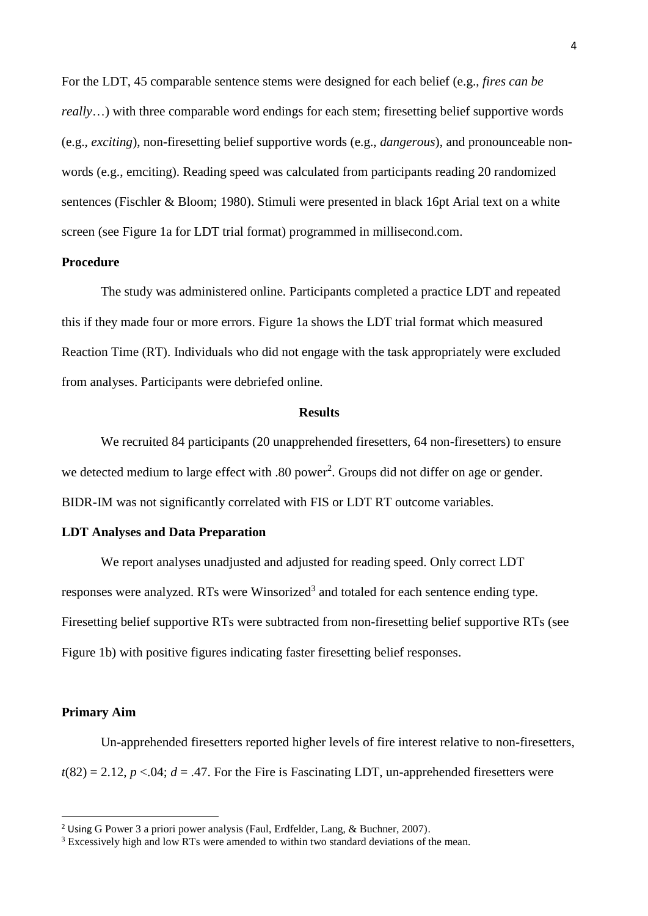For the LDT, 45 comparable sentence stems were designed for each belief (e.g., *fires can be really*...) with three comparable word endings for each stem; firesetting belief supportive words (e.g., *exciting*), non-firesetting belief supportive words (e.g., *dangerous*), and pronounceable nonwords (e.g., emciting). Reading speed was calculated from participants reading 20 randomized sentences (Fischler & Bloom; 1980). Stimuli were presented in black 16pt Arial text on a white screen (see Figure 1a for LDT trial format) programmed in millisecond.com.

#### **Procedure**

The study was administered online. Participants completed a practice LDT and repeated this if they made four or more errors. Figure 1a shows the LDT trial format which measured Reaction Time (RT). Individuals who did not engage with the task appropriately were excluded from analyses. Participants were debriefed online.

#### **Results**

We recruited 84 participants (20 unapprehended firesetters, 64 non-firesetters) to ensure we detected medium to large effect with .80 power<sup>2</sup>. Groups did not differ on age or gender. BIDR-IM was not significantly correlated with FIS or LDT RT outcome variables.

#### **LDT Analyses and Data Preparation**

We report analyses unadjusted and adjusted for reading speed. Only correct LDT responses were analyzed. RTs were Winsorized<sup>3</sup> and totaled for each sentence ending type. Firesetting belief supportive RTs were subtracted from non-firesetting belief supportive RTs (see Figure 1b) with positive figures indicating faster firesetting belief responses.

#### **Primary Aim**

1

Un-apprehended firesetters reported higher levels of fire interest relative to non-firesetters,  $t(82) = 2.12$ ,  $p < 0.04$ ;  $d = .47$ . For the Fire is Fascinating LDT, un-apprehended firesetters were

<sup>2</sup> Using G Power 3 a priori power analysis (Faul, Erdfelder, Lang, & Buchner, 2007).

<sup>&</sup>lt;sup>3</sup> Excessively high and low RTs were amended to within two standard deviations of the mean.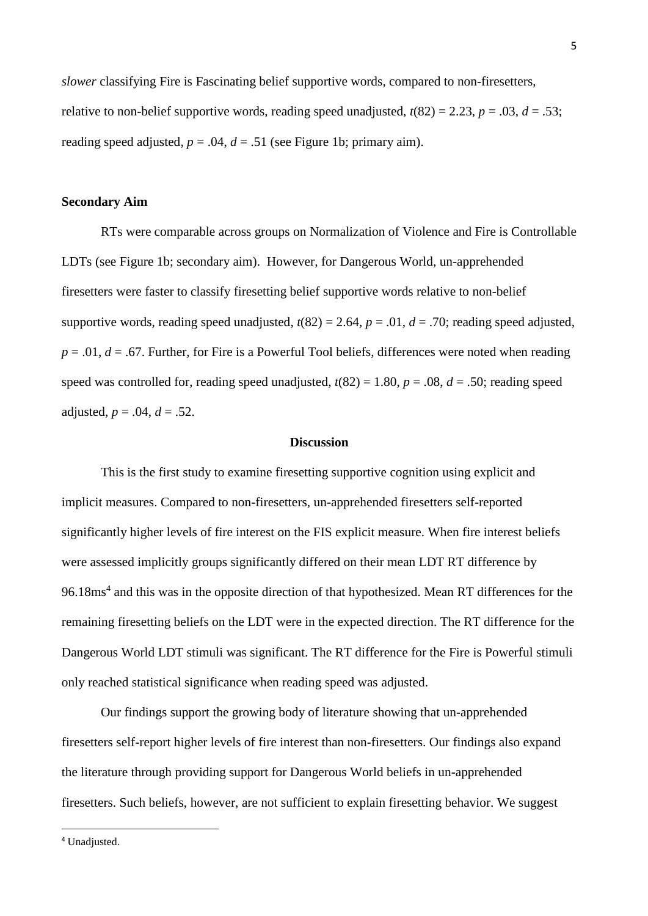*slower* classifying Fire is Fascinating belief supportive words, compared to non-firesetters, relative to non-belief supportive words, reading speed unadjusted,  $t(82) = 2.23$ ,  $p = .03$ ,  $d = .53$ ; reading speed adjusted,  $p = .04$ ,  $d = .51$  (see Figure 1b; primary aim).

#### **Secondary Aim**

RTs were comparable across groups on Normalization of Violence and Fire is Controllable LDTs (see Figure 1b; secondary aim). However, for Dangerous World, un-apprehended firesetters were faster to classify firesetting belief supportive words relative to non-belief supportive words, reading speed unadjusted,  $t(82) = 2.64$ ,  $p = .01$ ,  $d = .70$ ; reading speed adjusted,  $p = .01$ ,  $d = .67$ . Further, for Fire is a Powerful Tool beliefs, differences were noted when reading speed was controlled for, reading speed unadjusted,  $t(82) = 1.80$ ,  $p = .08$ ,  $d = .50$ ; reading speed adjusted,  $p = .04$ ,  $d = .52$ .

#### **Discussion**

This is the first study to examine firesetting supportive cognition using explicit and implicit measures. Compared to non-firesetters, un-apprehended firesetters self-reported significantly higher levels of fire interest on the FIS explicit measure. When fire interest beliefs were assessed implicitly groups significantly differed on their mean LDT RT difference by 96.18ms<sup>4</sup> and this was in the opposite direction of that hypothesized. Mean RT differences for the remaining firesetting beliefs on the LDT were in the expected direction. The RT difference for the Dangerous World LDT stimuli was significant. The RT difference for the Fire is Powerful stimuli only reached statistical significance when reading speed was adjusted.

Our findings support the growing body of literature showing that un-apprehended firesetters self-report higher levels of fire interest than non-firesetters. Our findings also expand the literature through providing support for Dangerous World beliefs in un-apprehended firesetters. Such beliefs, however, are not sufficient to explain firesetting behavior. We suggest

**.**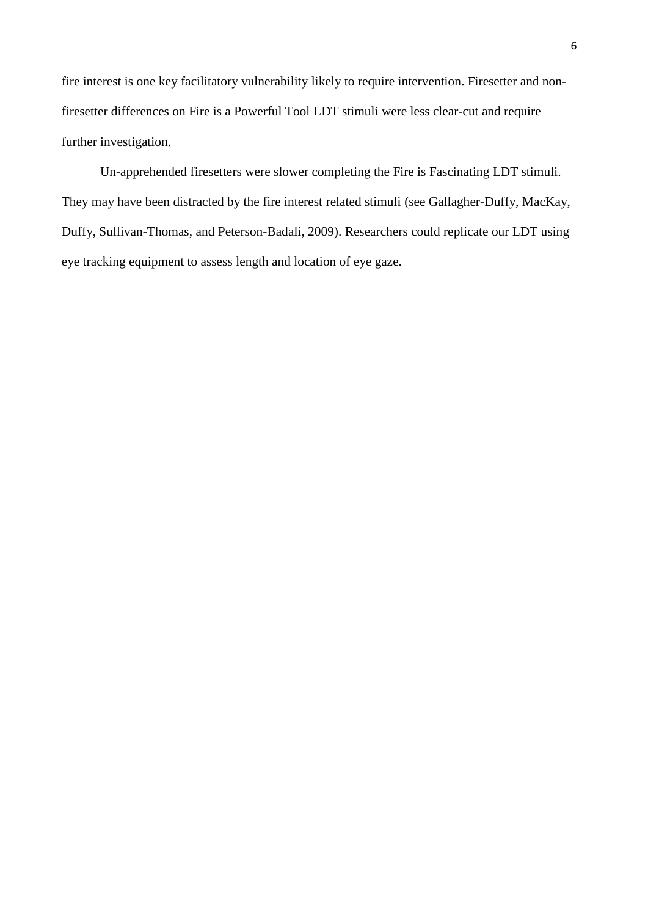fire interest is one key facilitatory vulnerability likely to require intervention. Firesetter and nonfiresetter differences on Fire is a Powerful Tool LDT stimuli were less clear-cut and require further investigation.

Un-apprehended firesetters were slower completing the Fire is Fascinating LDT stimuli. They may have been distracted by the fire interest related stimuli (see Gallagher-Duffy, MacKay, Duffy, Sullivan-Thomas, and Peterson-Badali, 2009). Researchers could replicate our LDT using eye tracking equipment to assess length and location of eye gaze.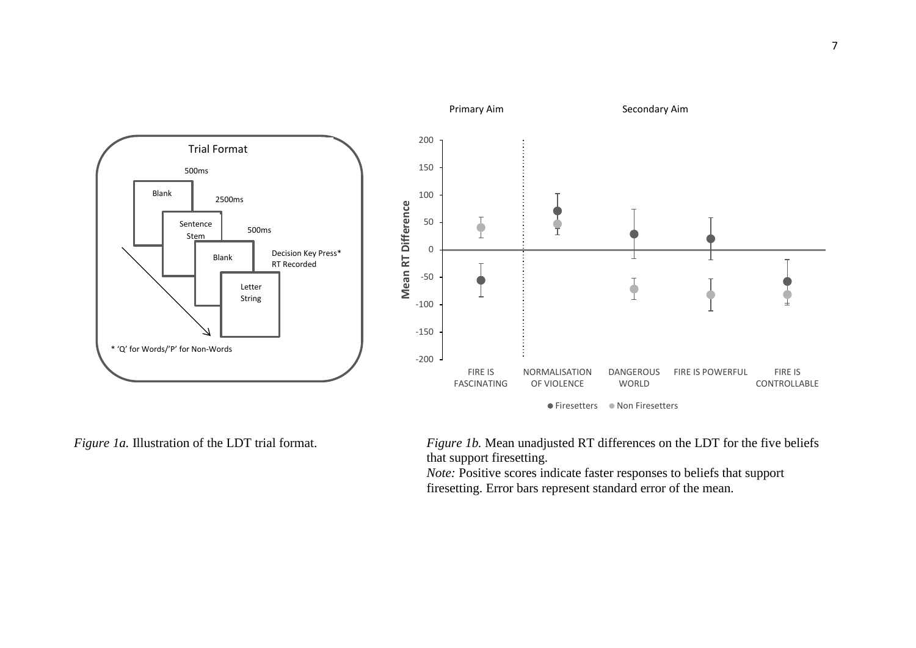

*Figure 1a.* Illustration of the LDT trial format. *Figure 1b.* Mean unadjusted RT differences on the LDT for the five beliefs that support firesetting.

> *Note:* Positive scores indicate faster responses to beliefs that support firesetting. Error bars represent standard error of the mean.